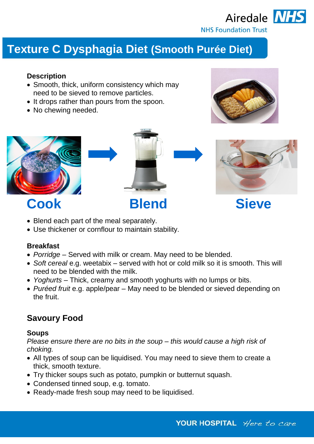

# **Texture C Dysphagia Diet (Smooth Purée Diet)**

# **Description**

- Smooth, thick, uniform consistency which may need to be sieved to remove particles.
- It drops rather than pours from the spoon.
- No chewing needed.





- Blend each part of the meal separately.
- Use thickener or cornflour to maintain stability.

# **Breakfast**

- *Porridge*  Served with milk or cream. May need to be blended.
- *Soft cereal* e.g. weetabix served with hot or cold milk so it is smooth. This will need to be blended with the milk.
- *Yoghurts –* Thick, creamy and smooth yoghurts with no lumps or bits.
- *Puréed fruit* e.g. apple/pear May need to be blended or sieved depending on the fruit.

# **Savoury Food**

# **Soups**

*Please ensure there are no bits in the soup – this would cause a high risk of choking.*

- All types of soup can be liquidised. You may need to sieve them to create a thick, smooth texture.
- Try thicker soups such as potato, pumpkin or butternut squash.
- Condensed tinned soup, e.g. tomato.
- Ready-made fresh soup may need to be liquidised.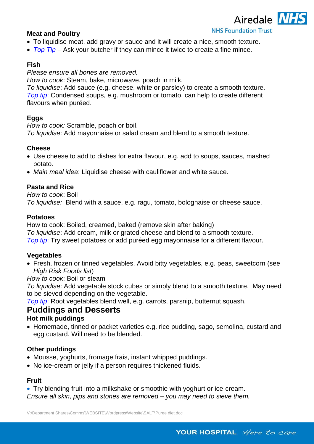# **Meat and Poultry**

- To liquidise meat, add gravy or sauce and it will create a nice, smooth texture.
- *Top Tip –* Ask your butcher if they can mince it twice to create a fine mince.

# **Fish**

*Please ensure all bones are removed.*

*How to cook*: Steam, bake, microwave, poach in milk.

*To liquidise*: Add sauce (e.g. cheese, white or parsley) to create a smooth texture. *Top tip*: Condensed soups, e.g. mushroom or tomato, can help to create different flavours when puréed.

# **Eggs**

*How to cook:* Scramble, poach or boil.

*To liquidise*: Add mayonnaise or salad cream and blend to a smooth texture.

#### **Cheese**

- Use cheese to add to dishes for extra flavour, e.g. add to soups, sauces, mashed potato.
- *Main meal idea*: Liquidise cheese with cauliflower and white sauce.

# **Pasta and Rice**

*How to cook*: Boil *To liquidise:* Blend with a sauce, e.g. ragu, tomato, bolognaise or cheese sauce.

# **Potatoes**

How to cook: Boiled, creamed, baked (remove skin after baking) *To liquidise*: Add cream, milk or grated cheese and blend to a smooth texture. *Top tip*: Try sweet potatoes or add puréed egg mayonnaise for a different flavour.

# **Vegetables**

 Fresh, frozen or tinned vegetables. Avoid bitty vegetables, e.g. peas, sweetcorn (see *High Risk Foods list*)

# *How to cook*: Boil or steam

*To liquidise*: Add vegetable stock cubes or simply blend to a smooth texture. May need to be sieved depending on the vegetable.

*Top tip*: Root vegetables blend well, e.g. carrots, parsnip, butternut squash.

# **Puddings and Desserts**

# **Hot milk puddings**

 Homemade, tinned or packet varieties e.g. rice pudding, sago, semolina, custard and egg custard. Will need to be blended.

# **Other puddings**

- Mousse, yoghurts, fromage frais, instant whipped puddings.
- No ice-cream or jelly if a person requires thickened fluids.

# **Fruit**

Try blending fruit into a milkshake or smoothie with yoghurt or ice-cream.

*Ensure all skin, pips and stones are removed – you may need to sieve them.*